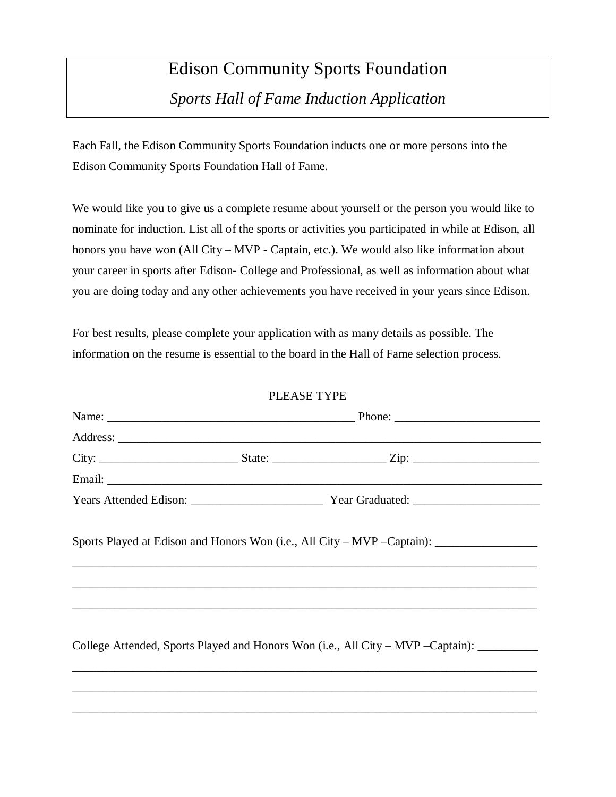## Edison Community Sports Foundation *Sports Hall of Fame Induction Application*

Each Fall, the Edison Community Sports Foundation inducts one or more persons into the Edison Community Sports Foundation Hall of Fame.

We would like you to give us a complete resume about yourself or the person you would like to nominate for induction. List all of the sports or activities you participated in while at Edison, all honors you have won (All City – MVP - Captain, etc.). We would also like information about your career in sports after Edison- College and Professional, as well as information about what you are doing today and any other achievements you have received in your years since Edison.

For best results, please complete your application with as many details as possible. The information on the resume is essential to the board in the Hall of Fame selection process.

## PLEASE TYPE

|  | Sports Played at Edison and Honors Won (i.e., All City – MVP – Captain): _______________<br>,我们也不能在这里的,我们也不能在这里的时候,我们也不能在这里的时候,我们也不能会不能会不能会不能会不能会不能会不能会不能会。""我们的人们,我们也不能会不能会 |  |
|--|------------------------------------------------------------------------------------------------------------------------------------------------------------------------------|--|
|  |                                                                                                                                                                              |  |
|  | College Attended, Sports Played and Honors Won (i.e., All City – MVP – Captain): __________                                                                                  |  |
|  |                                                                                                                                                                              |  |
|  |                                                                                                                                                                              |  |